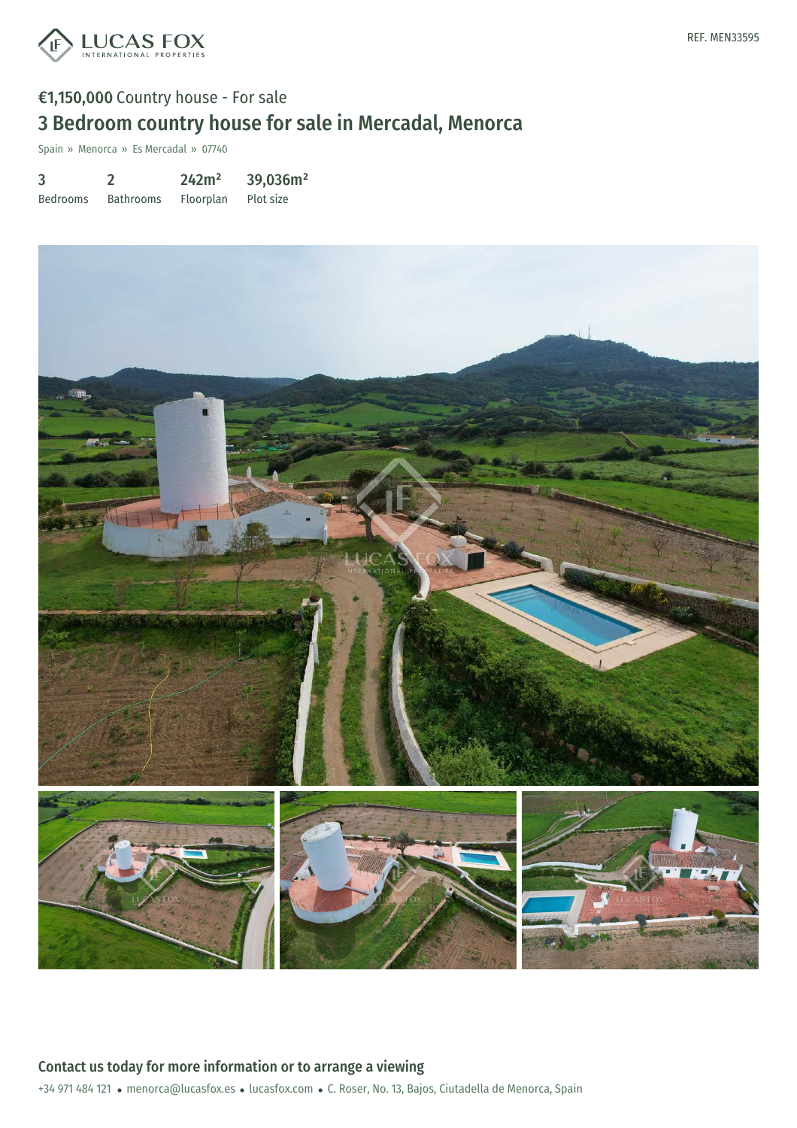

## €1,150,000 Country house - For sale 3 Bedroom country house for sale in Mercadal, Menorca

Spain » Menorca » Es Mercadal » 07740

| 3               |                  | 242m <sup>2</sup> | 39,036m <sup>2</sup> |
|-----------------|------------------|-------------------|----------------------|
| <b>Bedrooms</b> | <b>Bathrooms</b> | Floorplan         | Plot size            |



Contact us today for more information or to arrange a viewing

+34 971 484 121 · menorca@lucasfox.es · lucasfox.com · C. Roser, No. 13, Bajos, Ciutadella de Menorca, Spain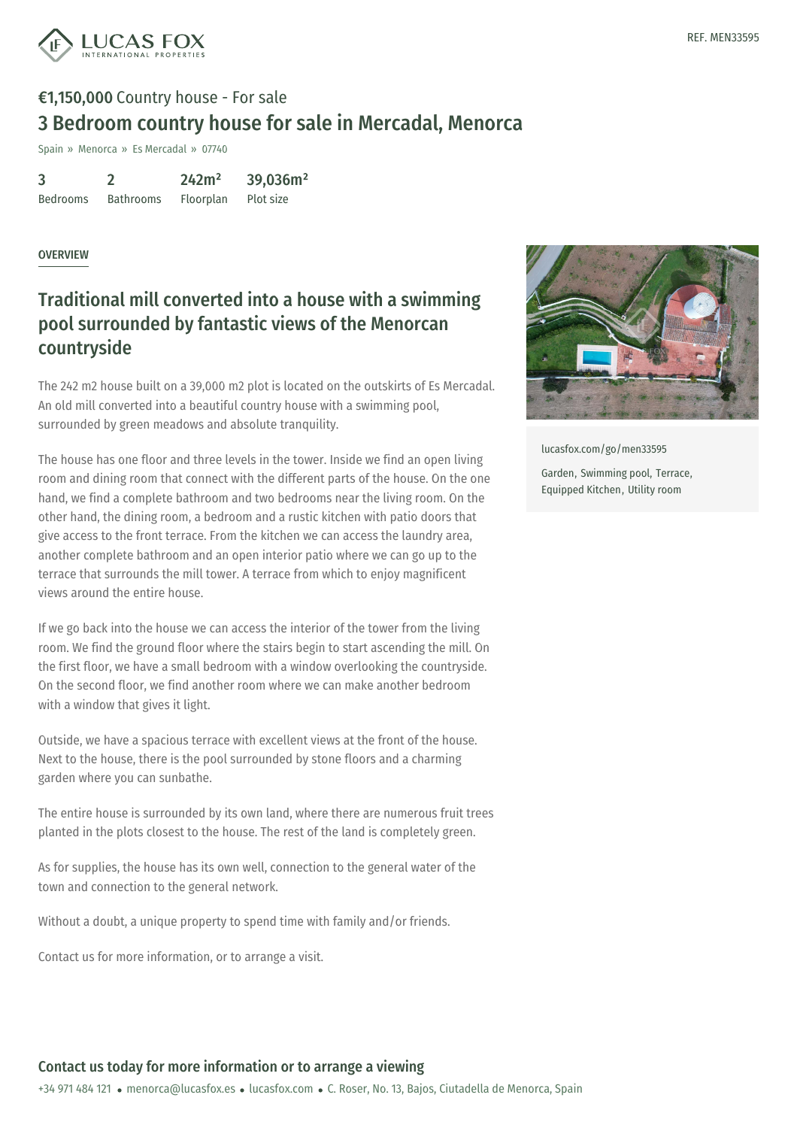

# €1,150,000 Country house - For sale 3 Bedroom country house for sale in Mercadal, Menorca

Spain » Menorca » Es Mercadal » 07740

| $\overline{3}$  |                  | 242m <sup>2</sup> | 39,036m <sup>2</sup> |
|-----------------|------------------|-------------------|----------------------|
| <b>Bedrooms</b> | <b>Bathrooms</b> | Floorplan         | Plot size            |

#### OVERVIEW

## Traditional mill converted into a house with a swimming pool surrounded by fantastic views of the Menorcan countryside

The 242 m2 house built on a 39,000 m2 plot is located on the outskirts of Es Mercadal. An old mill converted into a beautiful country house with a swimming pool, surrounded by green meadows and absolute tranquility.

The house has one floor and three levels in the tower. Inside we find an open living room and dining room that connect with the different parts of the house. On the one hand, we find a complete bathroom and two bedrooms near the living room. On the other hand, the dining room, a bedroom and a rustic kitchen with patio doors that give access to the front terrace. From the kitchen we can access the laundry area, another complete bathroom and an open interior patio where we can go up to the terrace that surrounds the mill tower. A terrace from which to enjoy magnificent views around the entire house.

If we go back into the house we can access the interior of the tower from the living room. We find the ground floor where the stairs begin to start ascending the mill. On the first floor, we have a small bedroom with a window overlooking the countryside. On the second floor, we find another room where we can make another bedroom with a window that gives it light.

Outside, we have a spacious terrace with excellent views at the front of the house. Next to the house, there is the pool surrounded by stone floors and a charming garden where you can sunbathe.

The entire house is surrounded by its own land, where there are numerous fruit trees planted in the plots [closest](mailto:menorca@lucasfox.es) to the house. The [rest](https://www.lucasfox.com) of the land is completely green.

As for supplies, the house has its own well, connection to the general water of the town and connection to the general network.

Without a doubt, a unique property to spend time with family and/or friends.

Contact us for more information, or to arrange a visit.



[lucasfox.com/go/men33595](https://www.lucasfox.com/go/men33595)

Garden, Swimming pool, Terrace, Equipped Kitchen, Utility room

### Contact us today for more information or to arrange a viewing

+34 971 484 121 · menorca@lucasfox.es · lucasfox.com · C. Roser, No. 13, Bajos, Ciutadella de Menorca, Spain